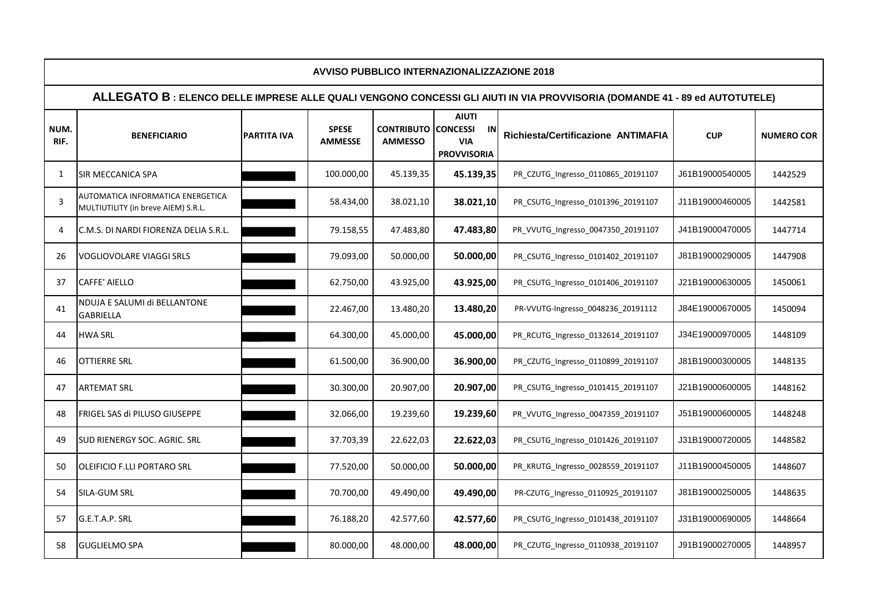| AVVISO PUBBLICO INTERNAZIONALIZZAZIONE 2018                                                                               |                                                                          |                    |                                |                                              |                                                        |                                    |                 |                   |  |  |  |  |  |
|---------------------------------------------------------------------------------------------------------------------------|--------------------------------------------------------------------------|--------------------|--------------------------------|----------------------------------------------|--------------------------------------------------------|------------------------------------|-----------------|-------------------|--|--|--|--|--|
| ALLEGATO B: ELENCO DELLE IMPRESE ALLE QUALI VENGONO CONCESSI GLI AIUTI IN VIA PROVVISORIA (DOMANDE 41 - 89 ed AUTOTUTELE) |                                                                          |                    |                                |                                              |                                                        |                                    |                 |                   |  |  |  |  |  |
| NUM.<br>RIF.                                                                                                              | <b>BENEFICIARIO</b>                                                      | <b>PARTITA IVA</b> | <b>SPESE</b><br><b>AMMESSE</b> | <b>CONTRIBUTO CONCESSI</b><br><b>AMMESSO</b> | <b>AIUTI</b><br>IN<br><b>VIA</b><br><b>PROVVISORIA</b> | Richiesta/Certificazione ANTIMAFIA | <b>CUP</b>      | <b>NUMERO COR</b> |  |  |  |  |  |
| $\mathbf{1}$                                                                                                              | SIR MECCANICA SPA                                                        |                    | 100.000,00                     | 45.139,35                                    | 45.139,35                                              | PR_CZUTG_Ingresso_0110865_20191107 | J61B19000540005 | 1442529           |  |  |  |  |  |
| 3                                                                                                                         | AUTOMATICA INFORMATICA ENERGETICA<br>MULTIUTILITY (in breve AIEM) S.R.L. |                    | 58.434,00                      | 38.021,10                                    | 38.021,10                                              | PR_CSUTG_Ingresso_0101396_20191107 | J11B19000460005 | 1442581           |  |  |  |  |  |
| 4                                                                                                                         | C.M.S. DI NARDI FIORENZA DELIA S.R.L.                                    |                    | 79.158,55                      | 47.483,80                                    | 47.483,80                                              | PR_VVUTG_Ingresso_0047350_20191107 | J41B19000470005 | 1447714           |  |  |  |  |  |
| 26                                                                                                                        | VOGLIOVOLARE VIAGGI SRLS                                                 |                    | 79.093,00                      | 50.000,00                                    | 50.000,00                                              | PR_CSUTG_Ingresso_0101402_20191107 | J81B19000290005 | 1447908           |  |  |  |  |  |
| 37                                                                                                                        | <b>CAFFE' AIELLO</b>                                                     |                    | 62.750,00                      | 43.925,00                                    | 43.925,00                                              | PR_CSUTG_Ingresso_0101406_20191107 | J21B19000630005 | 1450061           |  |  |  |  |  |
| 41                                                                                                                        | NDUJA E SALUMI di BELLANTONE<br><b>GABRIELLA</b>                         |                    | 22.467,00                      | 13.480,20                                    | 13.480,20                                              | PR-VVUTG-Ingresso_0048236_20191112 | J84E19000670005 | 1450094           |  |  |  |  |  |
| 44                                                                                                                        | <b>HWA SRL</b>                                                           |                    | 64.300,00                      | 45.000,00                                    | 45.000,00                                              | PR RCUTG Ingresso 0132614 20191107 | J34E19000970005 | 1448109           |  |  |  |  |  |
| 46                                                                                                                        | <b>OTTIERRE SRL</b>                                                      |                    | 61.500,00                      | 36.900,00                                    | 36.900,00                                              | PR_CZUTG_Ingresso_0110899_20191107 | J81B19000300005 | 1448135           |  |  |  |  |  |
| 47                                                                                                                        | <b>ARTEMAT SRL</b>                                                       |                    | 30.300,00                      | 20.907,00                                    | 20.907,00                                              | PR_CSUTG_Ingresso_0101415_20191107 | J21B19000600005 | 1448162           |  |  |  |  |  |
| 48                                                                                                                        | FRIGEL SAS di PILUSO GIUSEPPE                                            |                    | 32.066,00                      | 19.239,60                                    | 19.239,60                                              | PR_VVUTG_Ingresso_0047359_20191107 | J51B19000600005 | 1448248           |  |  |  |  |  |
| 49                                                                                                                        | SUD RIENERGY SOC. AGRIC. SRL                                             |                    | 37.703,39                      | 22.622,03                                    | 22.622,03                                              | PR_CSUTG_Ingresso_0101426_20191107 | J31B19000720005 | 1448582           |  |  |  |  |  |
| 50                                                                                                                        | OLEIFICIO F.LLI PORTARO SRL                                              |                    | 77.520,00                      | 50.000,00                                    | 50.000,00                                              | PR_KRUTG_Ingresso_0028559_20191107 | J11B19000450005 | 1448607           |  |  |  |  |  |
| 54                                                                                                                        | SILA-GUM SRL                                                             |                    | 70.700,00                      | 49.490,00                                    | 49.490,00                                              | PR-CZUTG_Ingresso_0110925_20191107 | J81B19000250005 | 1448635           |  |  |  |  |  |
| 57                                                                                                                        | G.E.T.A.P. SRL                                                           |                    | 76.188,20                      | 42.577,60                                    | 42.577,60                                              | PR_CSUTG_Ingresso_0101438_20191107 | J31B19000690005 | 1448664           |  |  |  |  |  |
| 58                                                                                                                        | <b>GUGLIELMO SPA</b>                                                     |                    | 80.000,00                      | 48.000,00                                    | 48.000,00                                              | PR_CZUTG_Ingresso_0110938_20191107 | J91B19000270005 | 1448957           |  |  |  |  |  |